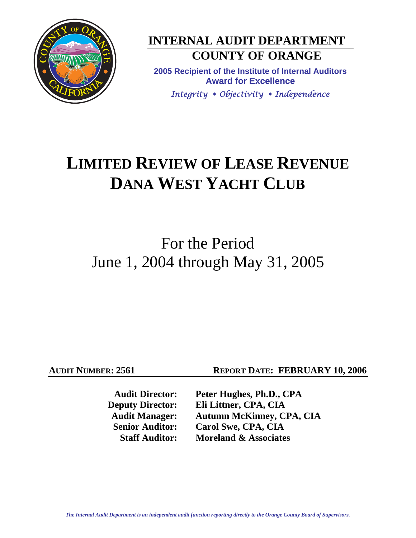

**INTERNAL AUDIT DEPARTMENT COUNTY OF ORANGE** 

**2005 Recipient of the Institute of Internal Auditors Award for Excellence**  *Integrity Objectivity Independence*

# **LIMITED REVIEW OF LEASE REVENUE DANA WEST YACHT CLUB**

For the Period June 1, 2004 through May 31, 2005

**AUDIT NUMBER: 2561 REPORT DATE: FEBRUARY 10, 2006** 

**Audit Director: Peter Hughes, Ph.D., CPA Deputy Director: Eli Littner, CPA, CIA Audit Manager: Autumn McKinney, CPA, CIA Senior Auditor: Carol Swe, CPA, CIA Staff Auditor: Moreland & Associates**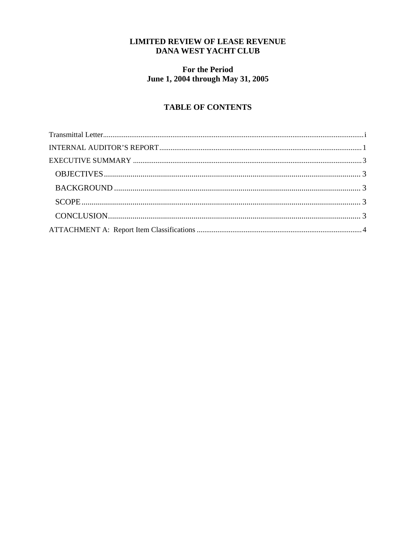# **LIMITED REVIEW OF LEASE REVENUE DANA WEST YACHT CLUB**

# **For the Period** June 1, 2004 through May 31, 2005

# **TABLE OF CONTENTS**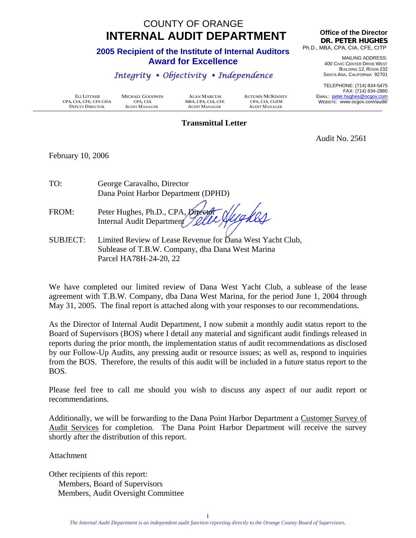# COUNTY OF ORANGE **INTERNAL AUDIT DEPARTMENT** Office of the Director

# <span id="page-2-0"></span>**2005 Recipient of the Institute of Internal Auditors Award for Excellence**

# *Integrity Objectivity Independence*

 **ELI LITTNER MICHAEL GOODWIN ALAN MARCUM AUTUMN MCKINNEY CPA, CIA, CFE, CFS CISA CPA, CIA MBA, CPA, CIA, CFE CPA, CIA, CGFM**  $\overline{D}$ **EPUTY DIRECTOR** 

# **DR. PETER HUGHES** Ph.D., MBA, CPA, CIA, CFE, CITP

MAILING ADDRESS: 400 CIVIC CENTER DRIVE WEST BUILDING 12, ROOM 232

SANTA ANA, CALIFORNIA 92701 TELEPHONE: (714) 834-5475 FAX: (714) 834-2880 EMAIL: peter.hughes@ocgov.com WEBSITE: www.ocgov.com/audit/

# **Transmittal Letter**

Audit No. 2561

February 10, 2006

- TO: George Caravalho, Director Dana Point Harbor Department (DPHD)
- Suskes FROM: Peter Hughes, Ph.D., CPA, Divector Internal Audit Department
- SUBJECT: Limited Review of Lease Revenue for Dana West Yacht Club, Sublease of T.B.W. Company, dba Dana West Marina Parcel HA78H-24-20, 22

We have completed our limited review of Dana West Yacht Club, a sublease of the lease agreement with T.B.W. Company, dba Dana West Marina, for the period June 1, 2004 through May 31, 2005. The final report is attached along with your responses to our recommendations.

As the Director of Internal Audit Department, I now submit a monthly audit status report to the Board of Supervisors (BOS) where I detail any material and significant audit findings released in reports during the prior month, the implementation status of audit recommendations as disclosed by our Follow-Up Audits, any pressing audit or resource issues; as well as, respond to inquiries from the BOS. Therefore, the results of this audit will be included in a future status report to the BOS.

Please feel free to call me should you wish to discuss any aspect of our audit report or recommendations.

Additionally, we will be forwarding to the Dana Point Harbor Department a Customer Survey of Audit Services for completion. The Dana Point Harbor Department will receive the survey shortly after the distribution of this report.

Attachment

Other recipients of this report: Members, Board of Supervisors Members, Audit Oversight Committee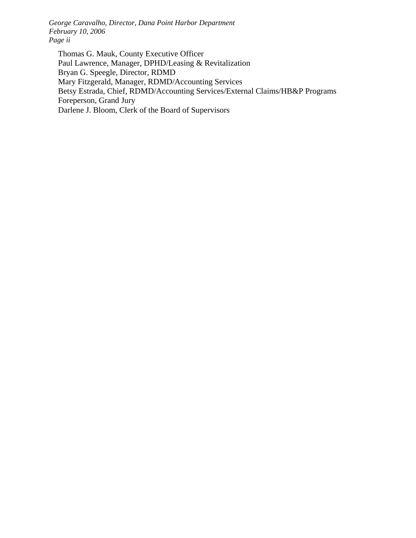*George Caravalho, Director, Dana Point Harbor Department February 10, 2006 Page ii* 

Thomas G. Mauk, County Executive Officer Paul Lawrence, Manager, DPHD/Leasing & Revitalization Bryan G. Speegle, Director, RDMD Mary Fitzgerald, Manager, RDMD/Accounting Services Betsy Estrada, Chief, RDMD/Accounting Services/External Claims/HB&P Programs Foreperson, Grand Jury Darlene J. Bloom, Clerk of the Board of Supervisors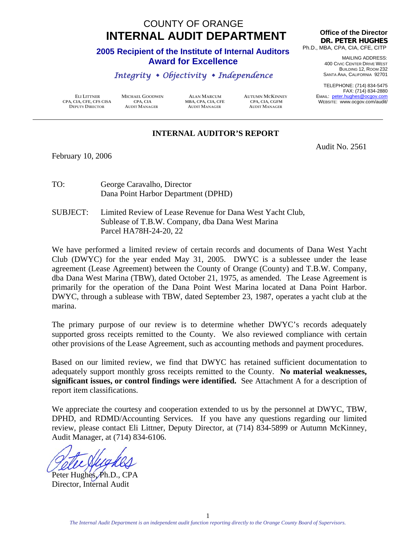# COUNTY OF ORANGE  **INTERNAL AUDIT DEPARTMENT**

# <span id="page-4-0"></span>**2005 Recipient of the Institute of Internal Auditors Award for Excellence**

# *Integrity Objectivity Independence*

 **CPA, CIA, CFE, CFS CISA CPA, CIA MBA, CPA, CIA, CFE CPA, CIA, CGFM DEPUTY DIRECTOR** 

**ELI LITTNER MICHAEL GOODWIN ALAN MARCUM AUTUMN MCKINNEY**

#### **Office of the Director DR. PETER HUGHES** Ph.D., MBA, CPA, CIA, CFE, CITP

MAILING ADDRESS: 400 CIVIC CENTER DRIVE WEST BUILDING 12, ROOM 232 SANTA ANA, CALIFORNIA 92701

TELEPHONE: (714) 834-5475 FAX: (714) 834-2880 EMAIL: peter.hughes@ocgov.com WEBSITE: www.ocgov.com/audit/

Audit No. 2561

# **INTERNAL AUDITOR'S REPORT**

February 10, 2006

TO: George Caravalho, Director Dana Point Harbor Department (DPHD)

SUBJECT: Limited Review of Lease Revenue for Dana West Yacht Club, Sublease of T.B.W. Company, dba Dana West Marina Parcel HA78H-24-20, 22

We have performed a limited review of certain records and documents of Dana West Yacht Club (DWYC) for the year ended May 31, 2005. DWYC is a sublessee under the lease agreement (Lease Agreement) between the County of Orange (County) and T.B.W. Company, dba Dana West Marina (TBW), dated October 21, 1975, as amended. The Lease Agreement is primarily for the operation of the Dana Point West Marina located at Dana Point Harbor. DWYC, through a sublease with TBW, dated September 23, 1987, operates a yacht club at the marina.

The primary purpose of our review is to determine whether DWYC's records adequately supported gross receipts remitted to the County. We also reviewed compliance with certain other provisions of the Lease Agreement, such as accounting methods and payment procedures.

Based on our limited review, we find that DWYC has retained sufficient documentation to adequately support monthly gross receipts remitted to the County. **No material weaknesses, significant issues, or control findings were identified.** See Attachment A for a description of report item classifications.

We appreciate the courtesy and cooperation extended to us by the personnel at DWYC, TBW, DPHD, and RDMD/Accounting Services. If you have any questions regarding our limited review, please contact Eli Littner, Deputy Director, at (714) 834-5899 or Autumn McKinney, Audit Manager, at (714) 834-6106.

Peter Hughes, Ph.D., CPA Director, Internal Audit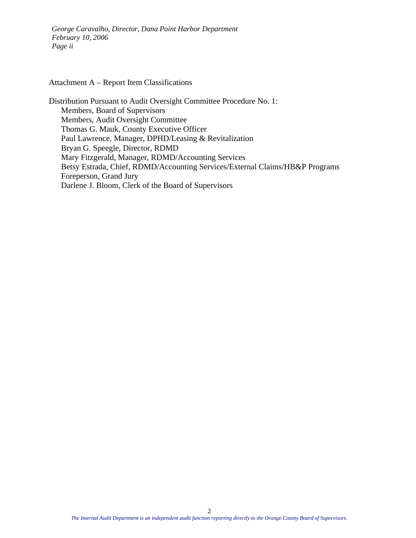*George Caravalho, Director, Dana Point Harbor Department February 10, 2006 Page ii* 

Attachment A – Report Item Classifications

Distribution Pursuant to Audit Oversight Committee Procedure No. 1: Members, Board of Supervisors Members, Audit Oversight Committee Thomas G. Mauk, County Executive Officer Paul Lawrence, Manager, DPHD/Leasing & Revitalization Bryan G. Speegle, Director, RDMD Mary Fitzgerald, Manager, RDMD/Accounting Services Betsy Estrada, Chief, RDMD/Accounting Services/External Claims/HB&P Programs Foreperson, Grand Jury Darlene J. Bloom, Clerk of the Board of Supervisors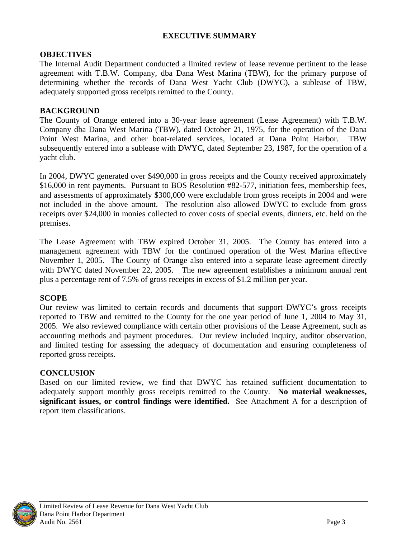# **EXECUTIVE SUMMARY**

### <span id="page-6-0"></span>**OBJECTIVES**

The Internal Audit Department conducted a limited review of lease revenue pertinent to the lease agreement with T.B.W. Company, dba Dana West Marina (TBW), for the primary purpose of determining whether the records of Dana West Yacht Club (DWYC), a sublease of TBW, adequately supported gross receipts remitted to the County.

### **BACKGROUND**

The County of Orange entered into a 30-year lease agreement (Lease Agreement) with T.B.W. Company dba Dana West Marina (TBW), dated October 21, 1975, for the operation of the Dana Point West Marina, and other boat-related services, located at Dana Point Harbor. TBW subsequently entered into a sublease with DWYC, dated September 23, 1987, for the operation of a yacht club.

In 2004, DWYC generated over \$490,000 in gross receipts and the County received approximately \$16,000 in rent payments. Pursuant to BOS Resolution #82-577, initiation fees, membership fees, and assessments of approximately \$300,000 were excludable from gross receipts in 2004 and were not included in the above amount. The resolution also allowed DWYC to exclude from gross receipts over \$24,000 in monies collected to cover costs of special events, dinners, etc. held on the premises.

The Lease Agreement with TBW expired October 31, 2005. The County has entered into a management agreement with TBW for the continued operation of the West Marina effective November 1, 2005. The County of Orange also entered into a separate lease agreement directly with DWYC dated November 22, 2005. The new agreement establishes a minimum annual rent plus a percentage rent of 7.5% of gross receipts in excess of \$1.2 million per year.

### **SCOPE**

Our review was limited to certain records and documents that support DWYC's gross receipts reported to TBW and remitted to the County for the one year period of June 1, 2004 to May 31, 2005. We also reviewed compliance with certain other provisions of the Lease Agreement, such as accounting methods and payment procedures. Our review included inquiry, auditor observation, and limited testing for assessing the adequacy of documentation and ensuring completeness of reported gross receipts.

### **CONCLUSION**

Based on our limited review, we find that DWYC has retained sufficient documentation to adequately support monthly gross receipts remitted to the County. **No material weaknesses, significant issues, or control findings were identified.** See Attachment A for a description of report item classifications.